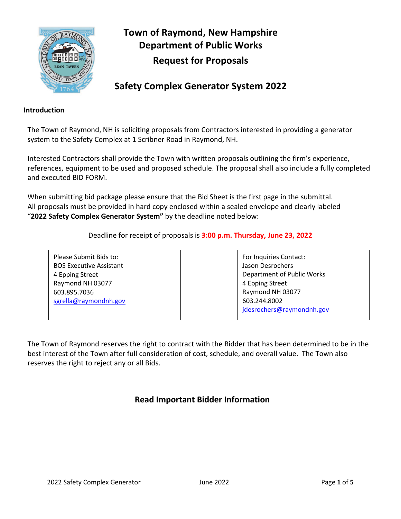

# **Town of Raymond, New Hampshire Department of Public Works Request for Proposals**

## **Safety Complex Generator System 2022**

#### **Introduction**

The Town of Raymond, NH is soliciting proposals from Contractors interested in providing a generator system to the Safety Complex at 1 Scribner Road in Raymond, NH.

Interested Contractors shall provide the Town with written proposals outlining the firm's experience, references, equipment to be used and proposed schedule. The proposal shall also include a fully completed and executed BID FORM.

When submitting bid package please ensure that the Bid Sheet is the first page in the submittal. All proposals must be provided in hard copy enclosed within a sealed envelope and clearly labeled "**2022 Safety Complex Generator System"** by the deadline noted below:

Deadline for receipt of proposals is **3:00 p.m. Thursday, June 23, 2022**

Please Submit Bids to: BOS Executive Assistant 4 Epping Street Raymond NH 03077 603.895.7036 [sgrella@raymondnh.gov](mailto:sgrella@raymondnh.gov)  For Inquiries Contact: Jason Desrochers Department of Public Works 4 Epping Street Raymond NH 03077 603.244.8002 [jdesrochers@raymondnh.gov](mailto:jdesrochers@raymondnh.gov) 

The Town of Raymond reserves the right to contract with the Bidder that has been determined to be in the best interest of the Town after full consideration of cost, schedule, and overall value. The Town also reserves the right to reject any or all Bids.

## **Read Important Bidder Information**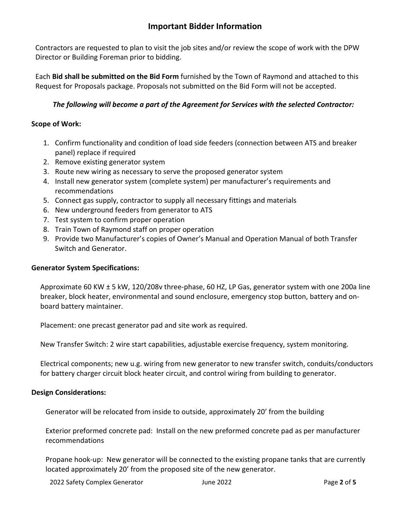### **Important Bidder Information**

Contractors are requested to plan to visit the job sites and/or review the scope of work with the DPW Director or Building Foreman prior to bidding.

Each **Bid shall be submitted on the Bid Form** furnished by the Town of Raymond and attached to this Request for Proposals package. Proposals not submitted on the Bid Form will not be accepted.

#### *The following will become a part of the Agreement for Services with the selected Contractor:*

#### **Scope of Work:**

- 1. Confirm functionality and condition of load side feeders (connection between ATS and breaker panel) replace if required
- 2. Remove existing generator system
- 3. Route new wiring as necessary to serve the proposed generator system
- 4. Install new generator system (complete system) per manufacturer's requirements and recommendations
- 5. Connect gas supply, contractor to supply all necessary fittings and materials
- 6. New underground feeders from generator to ATS
- 7. Test system to confirm proper operation
- 8. Train Town of Raymond staff on proper operation
- 9. Provide two Manufacturer's copies of Owner's Manual and Operation Manual of both Transfer Switch and Generator.

#### **Generator System Specifications:**

Approximate 60 KW ± 5 kW, 120/208v three-phase, 60 HZ, LP Gas, generator system with one 200a line breaker, block heater, environmental and sound enclosure, emergency stop button, battery and onboard battery maintainer.

Placement: one precast generator pad and site work as required.

New Transfer Switch: 2 wire start capabilities, adjustable exercise frequency, system monitoring.

Electrical components; new u.g. wiring from new generator to new transfer switch, conduits/conductors for battery charger circuit block heater circuit, and control wiring from building to generator.

#### **Design Considerations:**

Generator will be relocated from inside to outside, approximately 20' from the building

Exterior preformed concrete pad: Install on the new preformed concrete pad as per manufacturer recommendations

Propane hook-up: New generator will be connected to the existing propane tanks that are currently located approximately 20' from the proposed site of the new generator.

2022 Safety Complex Generator June 2022 Page **2** of **5**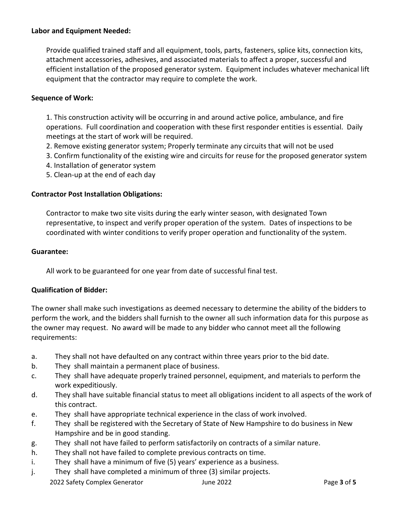#### **Labor and Equipment Needed:**

Provide qualified trained staff and all equipment, tools, parts, fasteners, splice kits, connection kits, attachment accessories, adhesives, and associated materials to affect a proper, successful and efficient installation of the proposed generator system. Equipment includes whatever mechanical lift equipment that the contractor may require to complete the work.

#### **Sequence of Work:**

1. This construction activity will be occurring in and around active police, ambulance, and fire operations. Full coordination and cooperation with these first responder entities is essential. Daily meetings at the start of work will be required.

- 2. Remove existing generator system; Properly terminate any circuits that will not be used
- 3. Confirm functionality of the existing wire and circuits for reuse for the proposed generator system
- 4. Installation of generator system
- 5. Clean-up at the end of each day

#### **Contractor Post Installation Obligations:**

Contractor to make two site visits during the early winter season, with designated Town representative, to inspect and verify proper operation of the system. Dates of inspections to be coordinated with winter conditions to verify proper operation and functionality of the system.

#### **Guarantee:**

All work to be guaranteed for one year from date of successful final test.

#### **Qualification of Bidder:**

The owner shall make such investigations as deemed necessary to determine the ability of the bidders to perform the work, and the bidders shall furnish to the owner all such information data for this purpose as the owner may request. No award will be made to any bidder who cannot meet all the following requirements:

- a. They shall not have defaulted on any contract within three years prior to the bid date.
- b. They shall maintain a permanent place of business.
- c. They shall have adequate properly trained personnel, equipment, and materials to perform the work expeditiously.
- d. They shall have suitable financial status to meet all obligations incident to all aspects of the work of this contract.
- e. They shall have appropriate technical experience in the class of work involved.
- f. They shall be registered with the Secretary of State of New Hampshire to do business in New Hampshire and be in good standing.
- g. They shall not have failed to perform satisfactorily on contracts of a similar nature.
- h. They shall not have failed to complete previous contracts on time.
- i. They shall have a minimum of five (5) years' experience as a business.
- j. They shall have completed a minimum of three (3) similar projects.

2022 Safety Complex Generator June 2022 Page **3** of **5**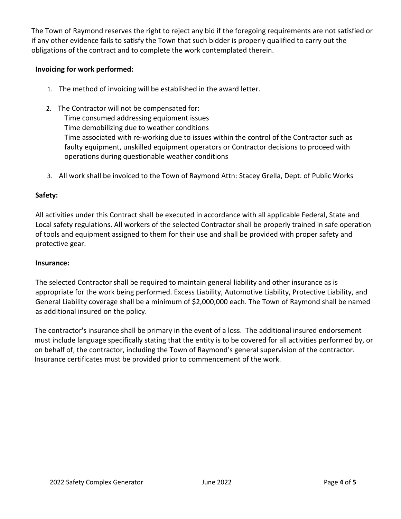The Town of Raymond reserves the right to reject any bid if the foregoing requirements are not satisfied or if any other evidence fails to satisfy the Town that such bidder is properly qualified to carry out the obligations of the contract and to complete the work contemplated therein.

#### **Invoicing for work performed:**

- 1. The method of invoicing will be established in the award letter.
- 2. The Contractor will not be compensated for:

Time consumed addressing equipment issues

Time demobilizing due to weather conditions

Time associated with re-working due to issues within the control of the Contractor such as faulty equipment, unskilled equipment operators or Contractor decisions to proceed with operations during questionable weather conditions

3. All work shall be invoiced to the Town of Raymond Attn: Stacey Grella, Dept. of Public Works

#### **Safety:**

All activities under this Contract shall be executed in accordance with all applicable Federal, State and Local safety regulations. All workers of the selected Contractor shall be properly trained in safe operation of tools and equipment assigned to them for their use and shall be provided with proper safety and protective gear.

#### **Insurance:**

The selected Contractor shall be required to maintain general liability and other insurance as is appropriate for the work being performed. Excess Liability, Automotive Liability, Protective Liability, and General Liability coverage shall be a minimum of \$2,000,000 each. The Town of Raymond shall be named as additional insured on the policy.

The contractor's insurance shall be primary in the event of a loss. The additional insured endorsement must include language specifically stating that the entity is to be covered for all activities performed by, or on behalf of, the contractor, including the Town of Raymond's general supervision of the contractor. Insurance certificates must be provided prior to commencement of the work.